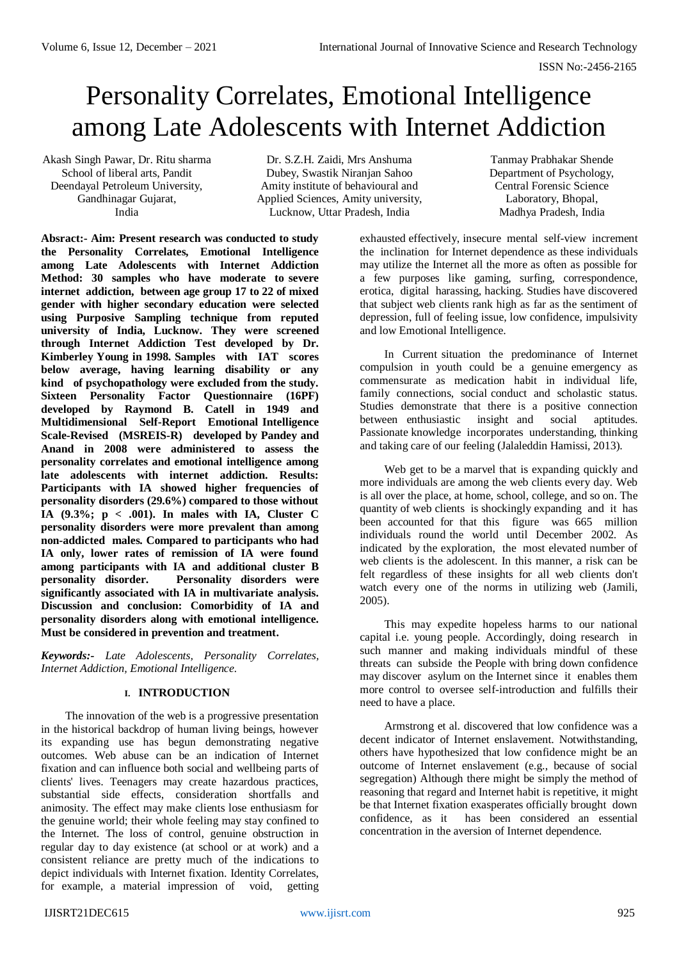# Personality Correlates, Emotional Intelligence among Late Adolescents with Internet Addiction

Akash Singh Pawar, Dr. Ritu sharma School of liberal arts, Pandit Deendayal Petroleum University, Gandhinagar Gujarat, India

Dr. S.Z.H. Zaidi, Mrs Anshuma Dubey, Swastik Niranjan Sahoo Amity institute of behavioural and Applied Sciences, Amity university, Lucknow, Uttar Pradesh, India

Tanmay Prabhakar Shende Department of Psychology, Central Forensic Science Laboratory, Bhopal, Madhya Pradesh, India

**Absract:- Aim: Present research was conducted to study the Personality Correlates, Emotional Intelligence among Late Adolescents with Internet Addiction Method: 30 samples who have moderate to severe internet addiction, between age group 17 to 22 of mixed gender with higher secondary education were selected using Purposive Sampling technique from reputed university of India, Lucknow. They were screened through Internet Addiction Test developed by Dr. Kimberley Young in 1998. Samples with IAT scores below average, having learning disability or any kind of psychopathology were excluded from the study. Sixteen Personality Factor Questionnaire (16PF) developed by Raymond B. Catell in 1949 and Multidimensional Self-Report Emotional Intelligence Scale-Revised (MSREIS-R) developed by Pandey and Anand in 2008 were administered to assess the personality correlates and emotional intelligence among late adolescents with internet addiction. Results: Participants with IA showed higher frequencies of personality disorders (29.6%) compared to those without IA (9.3%; p < .001). In males with IA, Cluster C personality disorders were more prevalent than among non-addicted males. Compared to participants who had IA only, lower rates of remission of IA were found among participants with IA and additional cluster B personality disorder. Personality disorders were significantly associated with IA in multivariate analysis. Discussion and conclusion: Comorbidity of IA and personality disorders along with emotional intelligence. Must be considered in prevention and treatment.**

*Keywords:- Late Adolescents, Personality Correlates, Internet Addiction, Emotional Intelligence.*

# **I. INTRODUCTION**

The innovation of the web is a progressive presentation in the historical backdrop of human living beings, however its expanding use has begun demonstrating negative outcomes. Web abuse can be an indication of Internet fixation and can influence both social and wellbeing parts of clients' lives. Teenagers may create hazardous practices, substantial side effects, consideration shortfalls and animosity. The effect may make clients lose enthusiasm for the genuine world; their whole feeling may stay confined to the Internet. The loss of control, genuine obstruction in regular day to day existence (at school or at work) and a consistent reliance are pretty much of the indications to depict individuals with Internet fixation. Identity Correlates, for example, a material impression of void, getting

exhausted effectively, insecure mental self-view increment the inclination for Internet dependence as these individuals may utilize the Internet all the more as often as possible for a few purposes like gaming, surfing, correspondence, erotica, digital harassing, hacking. Studies have discovered that subject web clients rank high as far as the sentiment of depression, full of feeling issue, low confidence, impulsivity and low Emotional Intelligence.

In Current situation the predominance of Internet compulsion in youth could be a genuine emergency as commensurate as medication habit in individual life, family connections, social conduct and scholastic status. Studies demonstrate that there is a positive connection between enthusiastic insight and social aptitudes. Passionate knowledge incorporates understanding, thinking and taking care of our feeling (Jalaleddin Hamissi, 2013).

Web get to be a marvel that is expanding quickly and more individuals are among the web clients every day. Web is all over the place, at home, school, college, and so on. The quantity of web clients is shockingly expanding and it has been accounted for that this figure was 665 million individuals round the world until December 2002. As indicated by the exploration, the most elevated number of web clients is the adolescent. In this manner, a risk can be felt regardless of these insights for all web clients don't watch every one of the norms in utilizing web (Jamili, 2005).

This may expedite hopeless harms to our national capital i.e. young people. Accordingly, doing research in such manner and making individuals mindful of these threats can subside the People with bring down confidence may discover asylum on the Internet since it enables them more control to oversee self-introduction and fulfills their need to have a place.

Armstrong et al. discovered that low confidence was a decent indicator of Internet enslavement. Notwithstanding, others have hypothesized that low confidence might be an outcome of Internet enslavement (e.g., because of social segregation) Although there might be simply the method of reasoning that regard and Internet habit is repetitive, it might be that Internet fixation exasperates officially brought down confidence, as it has been considered an essential concentration in the aversion of Internet dependence.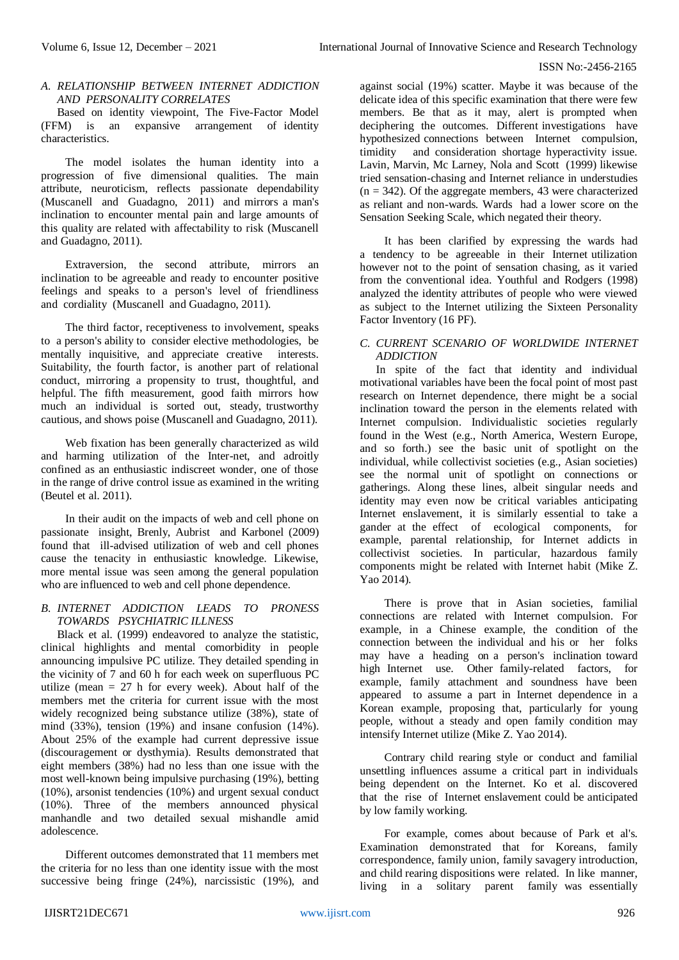## *A. RELATIONSHIP BETWEEN INTERNET ADDICTION AND PERSONALITY CORRELATES*

Based on identity viewpoint, The Five-Factor Model (FFM) is an expansive arrangement of identity characteristics.

The model isolates the human identity into a progression of five dimensional qualities. The main attribute, neuroticism, reflects passionate dependability (Muscanell and Guadagno, 2011) and mirrors a man's inclination to encounter mental pain and large amounts of this quality are related with affectability to risk (Muscanell and Guadagno, 2011).

Extraversion, the second attribute, mirrors an inclination to be agreeable and ready to encounter positive feelings and speaks to a person's level of friendliness and cordiality (Muscanell and Guadagno, 2011).

The third factor, receptiveness to involvement, speaks to a person's ability to consider elective methodologies, be mentally inquisitive, and appreciate creative interests. Suitability, the fourth factor, is another part of relational conduct, mirroring a propensity to trust, thoughtful, and helpful. The fifth measurement, good faith mirrors how much an individual is sorted out, steady, trustworthy cautious, and shows poise (Muscanell and Guadagno, 2011).

Web fixation has been generally characterized as wild and harming utilization of the Inter-net, and adroitly confined as an enthusiastic indiscreet wonder, one of those in the range of drive control issue as examined in the writing (Beutel et al. 2011).

In their audit on the impacts of web and cell phone on passionate insight, Brenly, Aubrist and Karbonel (2009) found that ill-advised utilization of web and cell phones cause the tenacity in enthusiastic knowledge. Likewise, more mental issue was seen among the general population who are influenced to web and cell phone dependence.

# *B. INTERNET ADDICTION LEADS TO PRONESS TOWARDS PSYCHIATRIC ILLNESS*

Black et al. (1999) endeavored to analyze the statistic, clinical highlights and mental comorbidity in people announcing impulsive PC utilize. They detailed spending in the vicinity of 7 and 60 h for each week on superfluous PC utilize (mean  $= 27$  h for every week). About half of the members met the criteria for current issue with the most widely recognized being substance utilize (38%), state of mind (33%), tension (19%) and insane confusion (14%). About 25% of the example had current depressive issue (discouragement or dysthymia). Results demonstrated that eight members (38%) had no less than one issue with the most well-known being impulsive purchasing (19%), betting (10%), arsonist tendencies (10%) and urgent sexual conduct (10%). Three of the members announced physical manhandle and two detailed sexual mishandle amid adolescence.

Different outcomes demonstrated that 11 members met the criteria for no less than one identity issue with the most successive being fringe (24%), narcissistic (19%), and against social (19%) scatter. Maybe it was because of the delicate idea of this specific examination that there were few members. Be that as it may, alert is prompted when deciphering the outcomes. Different investigations have hypothesized connections between Internet compulsion, timidity and consideration shortage hyperactivity issue. Lavin, Marvin, Mc Larney, Nola and Scott (1999) likewise tried sensation-chasing and Internet reliance in understudies  $(n = 342)$ . Of the aggregate members, 43 were characterized as reliant and non-wards. Wards had a lower score on the Sensation Seeking Scale, which negated their theory.

It has been clarified by expressing the wards had a tendency to be agreeable in their Internet utilization however not to the point of sensation chasing, as it varied from the conventional idea. Youthful and Rodgers (1998) analyzed the identity attributes of people who were viewed as subject to the Internet utilizing the Sixteen Personality Factor Inventory (16 PF).

# *C. CURRENT SCENARIO OF WORLDWIDE INTERNET ADDICTION*

In spite of the fact that identity and individual motivational variables have been the focal point of most past research on Internet dependence, there might be a social inclination toward the person in the elements related with Internet compulsion. Individualistic societies regularly found in the West (e.g., North America, Western Europe, and so forth.) see the basic unit of spotlight on the individual, while collectivist societies (e.g., Asian societies) see the normal unit of spotlight on connections or gatherings. Along these lines, albeit singular needs and identity may even now be critical variables anticipating Internet enslavement, it is similarly essential to take a gander at the effect of ecological components, for example, parental relationship, for Internet addicts in collectivist societies. In particular, hazardous family components might be related with Internet habit (Mike Z. Yao 2014).

There is prove that in Asian societies, familial connections are related with Internet compulsion. For example, in a Chinese example, the condition of the connection between the individual and his or her folks may have a heading on a person's inclination toward high Internet use. Other family-related factors, for example, family attachment and soundness have been appeared to assume a part in Internet dependence in a Korean example, proposing that, particularly for young people, without a steady and open family condition may intensify Internet utilize (Mike Z. Yao 2014).

Contrary child rearing style or conduct and familial unsettling influences assume a critical part in individuals being dependent on the Internet. Ko et al. discovered that the rise of Internet enslavement could be anticipated by low family working.

For example, comes about because of Park et al's. Examination demonstrated that for Koreans, family correspondence, family union, family savagery introduction, and child rearing dispositions were related. In like manner, living in a solitary parent family was essentially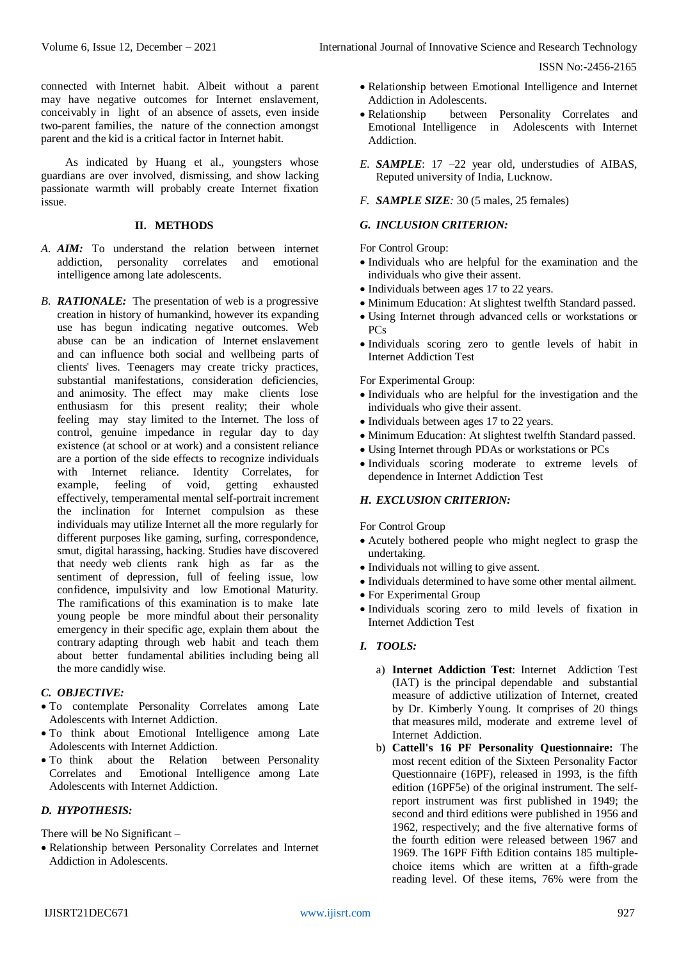connected with Internet habit. Albeit without a parent may have negative outcomes for Internet enslavement, conceivably in light of an absence of assets, even inside two-parent families, the nature of the connection amongst parent and the kid is a critical factor in Internet habit.

As indicated by Huang et al., youngsters whose guardians are over involved, dismissing, and show lacking passionate warmth will probably create Internet fixation issue.

#### **II. METHODS**

- *A. AIM:* To understand the relation between internet addiction, personality correlates and emotional intelligence among late adolescents.
- *B. RATIONALE:*The presentation of web is a progressive creation in history of humankind, however its expanding use has begun indicating negative outcomes. Web abuse can be an indication of Internet enslavement and can influence both social and wellbeing parts of clients' lives. Teenagers may create tricky practices, substantial manifestations, consideration deficiencies, and animosity. The effect may make clients lose enthusiasm for this present reality; their whole feeling may stay limited to the Internet. The loss of control, genuine impedance in regular day to day existence (at school or at work) and a consistent reliance are a portion of the side effects to recognize individuals with Internet reliance. Identity Correlates, for example, feeling of void, getting exhausted effectively, temperamental mental self-portrait increment the inclination for Internet compulsion as these individuals may utilize Internet all the more regularly for different purposes like gaming, surfing, correspondence, smut, digital harassing, hacking. Studies have discovered that needy web clients rank high as far as the sentiment of depression, full of feeling issue, low confidence, impulsivity and low Emotional Maturity. The ramifications of this examination is to make late young people be more mindful about their personality emergency in their specific age, explain them about the contrary adapting through web habit and teach them about better fundamental abilities including being all the more candidly wise.

# *C. OBJECTIVE:*

- To contemplate Personality Correlates among Late Adolescents with Internet Addiction.
- To think about Emotional Intelligence among Late Adolescents with Internet Addiction.
- To think about the Relation between Personality Emotional Intelligence among Late Adolescents with Internet Addiction.

## *D. HYPOTHESIS:*

There will be No Significant –

 Relationship between Personality Correlates and Internet Addiction in Adolescents.

- Relationship between Emotional Intelligence and Internet Addiction in Adolescents.
- Relationship between Personality Correlates and Emotional Intelligence in Adolescents with Internet Addiction.
- *E. SAMPLE*: 17 –22 year old, understudies of AIBAS, Reputed university of India, Lucknow.
- *F. SAMPLE SIZE:* 30 (5 males, 25 females)

## *G. INCLUSION CRITERION:*

For Control Group:

- Individuals who are helpful for the examination and the individuals who give their assent.
- Individuals between ages 17 to 22 years.
- Minimum Education: At slightest twelfth Standard passed.
- Using Internet through advanced cells or workstations or  $PC<sub>s</sub>$
- Individuals scoring zero to gentle levels of habit in Internet Addiction Test

For Experimental Group:

- Individuals who are helpful for the investigation and the individuals who give their assent.
- Individuals between ages 17 to 22 years.
- Minimum Education: At slightest twelfth Standard passed.
- Using Internet through PDAs or workstations or PCs
- Individuals scoring moderate to extreme levels of dependence in Internet Addiction Test

## *H. EXCLUSION CRITERION:*

For Control Group

- Acutely bothered people who might neglect to grasp the undertaking.
- Individuals not willing to give assent.
- Individuals determined to have some other mental ailment.
- For Experimental Group
- Individuals scoring zero to mild levels of fixation in Internet Addiction Test

# *I. TOOLS:*

- a) **Internet Addiction Test**: Internet Addiction Test (IAT) is the principal dependable and substantial measure of addictive utilization of Internet, created by Dr. Kimberly Young. It comprises of 20 things that measures mild, moderate and extreme level of Internet Addiction.
- b) **Cattell's 16 PF Personality Questionnaire:** The most recent edition of the Sixteen Personality Factor Questionnaire (16PF), released in 1993, is the fifth edition (16PF5e) of the original instrument. The selfreport instrument was first published in 1949; the second and third editions were published in 1956 and 1962, respectively; and the five alternative forms of the fourth edition were released between 1967 and 1969. The 16PF Fifth Edition contains 185 multiplechoice items which are written at a fifth-grade reading level. Of these items, 76% were from the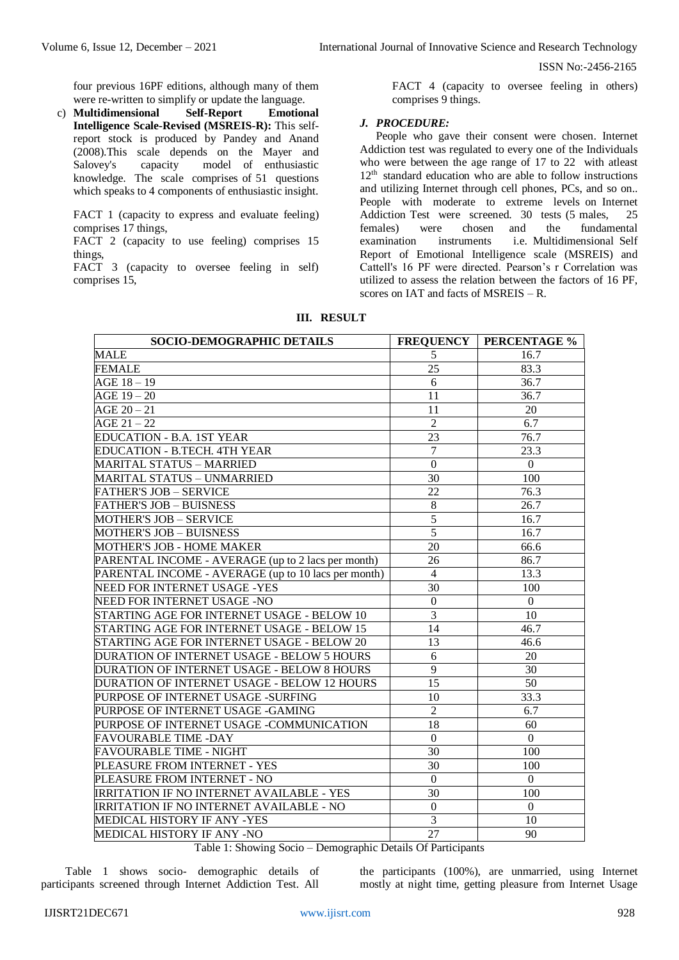four previous 16PF editions, although many of them were re-written to simplify or update the language.

c) **Multidimensional Self-Report Emotional Intelligence Scale-Revised (MSREIS-R):** This selfreport stock is produced by Pandey and Anand (2008).This scale depends on the Mayer and Salovey's capacity model of enthusiastic knowledge. The scale comprises of 51 questions which speaks to 4 components of enthusiastic insight.

FACT 1 (capacity to express and evaluate feeling) comprises 17 things,

FACT 2 (capacity to use feeling) comprises 15 things,

FACT 3 (capacity to oversee feeling in self) comprises 15,

FACT 4 (capacity to oversee feeling in others) comprises 9 things.

#### *J. PROCEDURE:*

People who gave their consent were chosen. Internet Addiction test was regulated to every one of the Individuals who were between the age range of 17 to 22 with atleast  $12<sup>th</sup>$  standard education who are able to follow instructions and utilizing Internet through cell phones, PCs, and so on.. People with moderate to extreme levels on Internet Addiction Test were screened. 30 tests (5 males, 25 females) were chosen and the fundamental examination instruments i.e. Multidimensional Self Report of Emotional Intelligence scale (MSREIS) and Cattell's 16 PF were directed. Pearson's r Correlation was utilized to assess the relation between the factors of 16 PF, scores on IAT and facts of MSREIS – R.

| SOCIO-DEMOGRAPHIC DETAILS                           | <b>FREQUENCY</b> | <b>PERCENTAGE %</b> |
|-----------------------------------------------------|------------------|---------------------|
| <b>MALE</b>                                         | 5                | 16.7                |
| FEMALE                                              | 25               | 83.3                |
| $AGE 18 - 19$                                       | 6                | 36.7                |
| $AGE$ 19 - 20                                       | 11               | 36.7                |
| $AGE 20 - 21$                                       | 11               | 20                  |
| $AGE 21 - 22$                                       | $\overline{2}$   | 6.7                 |
| EDUCATION - B.A. 1ST YEAR                           | 23               | 76.7                |
| EDUCATION - B.TECH. 4TH YEAR                        | $\tau$           | 23.3                |
| <b>MARITAL STATUS - MARRIED</b>                     | $\boldsymbol{0}$ | $\boldsymbol{0}$    |
| <b>MARITAL STATUS - UNMARRIED</b>                   | 30               | 100                 |
| <b>FATHER'S JOB – SERVICE</b>                       | 22               | 76.3                |
| <b>FATHER'S JOB - BUISNESS</b>                      | $\,8\,$          | 26.7                |
| <b>MOTHER'S JOB - SERVICE</b>                       | 5                | 16.7                |
| <b>MOTHER'S JOB - BUISNESS</b>                      | 5                | 16.7                |
| <b>MOTHER'S JOB - HOME MAKER</b>                    | 20               | 66.6                |
| PARENTAL INCOME - AVERAGE (up to 2 lacs per month)  | 26               | 86.7                |
| PARENTAL INCOME - AVERAGE (up to 10 lacs per month) | $\overline{4}$   | 13.3                |
| NEED FOR INTERNET USAGE -YES                        | 30               | 100                 |
| NEED FOR INTERNET USAGE -NO                         | $\boldsymbol{0}$ | $\mathbf{0}$        |
| STARTING AGE FOR INTERNET USAGE - BELOW 10          | $\overline{3}$   | 10                  |
| STARTING AGE FOR INTERNET USAGE - BELOW 15          | 14               | 46.7                |
| STARTING AGE FOR INTERNET USAGE - BELOW 20          | 13               | 46.6                |
| DURATION OF INTERNET USAGE - BELOW 5 HOURS          | 6                | 20                  |
| DURATION OF INTERNET USAGE - BELOW 8 HOURS          | 9                | 30                  |
| DURATION OF INTERNET USAGE - BELOW 12 HOURS         | 15               | 50                  |
| PURPOSE OF INTERNET USAGE -SURFING                  | 10               | 33.3                |
| PURPOSE OF INTERNET USAGE -GAMING                   | $\overline{2}$   | 6.7                 |
| PURPOSE OF INTERNET USAGE -COMMUNICATION            | 18               | 60                  |
| <b>FAVOURABLE TIME -DAY</b>                         | $\mathbf{0}$     | $\mathbf{0}$        |
| <b>FAVOURABLE TIME - NIGHT</b>                      | 30               | 100                 |
| PLEASURE FROM INTERNET - YES                        | 30               | 100                 |
| PLEASURE FROM INTERNET - NO                         | $\boldsymbol{0}$ | $\mathbf{0}$        |
| <b>IRRITATION IF NO INTERNET AVAILABLE - YES</b>    | 30               | 100                 |
| <b>IRRITATION IF NO INTERNET AVAILABLE - NO</b>     | $\boldsymbol{0}$ | $\boldsymbol{0}$    |
| MEDICAL HISTORY IF ANY -YES                         | $\overline{3}$   | 10                  |
| MEDICAL HISTORY IF ANY -NO                          | 27               | 90                  |

**III. RESULT**

Table 1: Showing Socio – Demographic Details Of Participants

Table 1 shows socio- demographic details of participants screened through Internet Addiction Test. All

the participants (100%), are unmarried, using Internet mostly at night time, getting pleasure from Internet Usage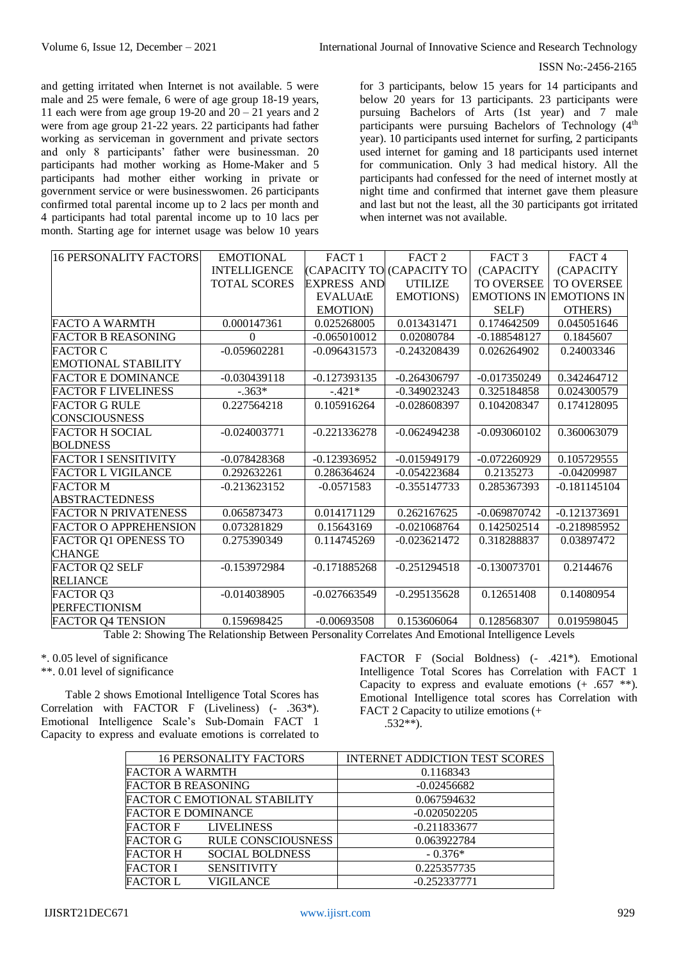and getting irritated when Internet is not available. 5 were male and 25 were female, 6 were of age group 18-19 years, 11 each were from age group 19-20 and  $20 - 21$  years and 2 were from age group 21-22 years. 22 participants had father working as serviceman in government and private sectors and only 8 participants' father were businessman. 20 participants had mother working as Home-Maker and 5 participants had mother either working in private or government service or were businesswomen. 26 participants confirmed total parental income up to 2 lacs per month and 4 participants had total parental income up to 10 lacs per month. Starting age for internet usage was below 10 years

for 3 participants, below 15 years for 14 participants and below 20 years for 13 participants. 23 participants were pursuing Bachelors of Arts (1st year) and 7 male participants were pursuing Bachelors of Technology (4<sup>th</sup>) year). 10 participants used internet for surfing, 2 participants used internet for gaming and 18 participants used internet for communication. Only 3 had medical history. All the participants had confessed for the need of internet mostly at night time and confirmed that internet gave them pleasure and last but not the least, all the 30 participants got irritated when internet was not available.

| <b>16 PERSONALITY FACTORS</b> | <b>EMOTIONAL</b>    | FACT <sub>1</sub>  | FACT <sub>2</sub>         | FACT <sub>3</sub> | FACT <sub>4</sub>              |
|-------------------------------|---------------------|--------------------|---------------------------|-------------------|--------------------------------|
|                               | <b>INTELLIGENCE</b> |                    | (CAPACITY TO (CAPACITY TO | (CAPACITY         | (CAPACITY                      |
|                               | <b>TOTAL SCORES</b> | <b>EXPRESS AND</b> | <b>UTILIZE</b>            | <b>TO OVERSEE</b> | <b>TO OVERSEE</b>              |
|                               |                     | <b>EVALUAtE</b>    | <b>EMOTIONS</b> )         |                   | <b>EMOTIONS IN EMOTIONS IN</b> |
|                               |                     | <b>EMOTION</b> )   |                           | SELF)             | OTHERS)                        |
| <b>FACTO A WARMTH</b>         | 0.000147361         | 0.025268005        | 0.013431471               | 0.174642509       | 0.045051646                    |
| <b>FACTOR B REASONING</b>     | 0                   | $-0.065010012$     | 0.02080784                | $-0.188548127$    | 0.1845607                      |
| <b>FACTOR C</b>               | $-0.059602281$      | $-0.096431573$     | $-0.243208439$            | 0.026264902       | 0.24003346                     |
| EMOTIONAL STABILITY           |                     |                    |                           |                   |                                |
| <b>FACTOR E DOMINANCE</b>     | $-0.030439118$      | $-0.127393135$     | $-0.264306797$            | $-0.017350249$    | 0.342464712                    |
| <b>FACTOR F LIVELINESS</b>    | $-.363*$            | $-.421*$           | $-0.349023243$            | 0.325184858       | 0.024300579                    |
| <b>FACTOR G RULE</b>          | 0.227564218         | 0.105916264        | $-0.028608397$            | 0.104208347       | 0.174128095                    |
| <b>CONSCIOUSNESS</b>          |                     |                    |                           |                   |                                |
| <b>FACTOR H SOCIAL</b>        | $-0.024003771$      | $-0.221336278$     | $-0.062494238$            | $-0.093060102$    | 0.360063079                    |
| <b>BOLDNESS</b>               |                     |                    |                           |                   |                                |
| <b>FACTOR I SENSITIVITY</b>   | $-0.078428368$      | $-0.123936952$     | $-0.015949179$            | $-0.072260929$    | 0.105729555                    |
| FACTOR L VIGILANCE            | 0.292632261         | 0.286364624        | $-0.054223684$            | 0.2135273         | $-0.04209987$                  |
| <b>FACTOR M</b>               | $-0.213623152$      | $-0.0571583$       | $-0.355147733$            | 0.285367393       | $-0.181145104$                 |
| <b>ABSTRACTEDNESS</b>         |                     |                    |                           |                   |                                |
| <b>FACTOR N PRIVATENESS</b>   | 0.065873473         | 0.014171129        | 0.262167625               | $-0.069870742$    | $-0.121373691$                 |
| <b>FACTOR O APPREHENSION</b>  | 0.073281829         | 0.15643169         | $-0.021068764$            | 0.142502514       | $-0.218985952$                 |
| FACTOR Q1 OPENESS TO          | 0.275390349         | 0.114745269        | $-0.023621472$            | 0.318288837       | 0.03897472                     |
| <b>CHANGE</b>                 |                     |                    |                           |                   |                                |
| <b>FACTOR Q2 SELF</b>         | $-0.153972984$      | $-0.171885268$     | $-0.251294518$            | $-0.130073701$    | 0.2144676                      |
| <b>RELIANCE</b>               |                     |                    |                           |                   |                                |
| <b>FACTOR Q3</b>              | $-0.014038905$      | $-0.027663549$     | $-0.295135628$            | 0.12651408        | 0.14080954                     |
| <b>PERFECTIONISM</b>          |                     |                    |                           |                   |                                |
| <b>FACTOR Q4 TENSION</b>      | 0.159698425         | $-0.00693508$      | 0.153606064               | 0.128568307       | 0.019598045                    |

Table 2: Showing The Relationship Between Personality Correlates And Emotional Intelligence Levels

\*. 0.05 level of significance

\*\*. 0.01 level of significance

Table 2 shows Emotional Intelligence Total Scores has Correlation with FACTOR F (Liveliness) (- .363\*). Emotional Intelligence Scale's Sub-Domain FACT 1 Capacity to express and evaluate emotions is correlated to

FACTOR F (Social Boldness) (- .421\*). Emotional Intelligence Total Scores has Correlation with FACT 1 Capacity to express and evaluate emotions  $(+,657$  \*\*). Emotional Intelligence total scores has Correlation with FACT 2 Capacity to utilize emotions (+ .532\*\*).

| <b>16 PERSONALITY FACTORS</b>                | <b>INTERNET ADDICTION TEST SCORES</b> |
|----------------------------------------------|---------------------------------------|
| <b>FACTOR A WARMTH</b>                       | 0.1168343                             |
| <b>FACTOR B REASONING</b>                    | $-0.02456682$                         |
| <b>FACTOR C EMOTIONAL STABILITY</b>          | 0.067594632                           |
| <b>FACTOR E DOMINANCE</b>                    | $-0.020502205$                        |
| <b>FACTOR F</b><br><b>LIVELINESS</b>         | $-0.211833677$                        |
| <b>RULE CONSCIOUSNESS</b><br><b>FACTOR G</b> | 0.063922784                           |
| <b>FACTOR H</b><br><b>SOCIAL BOLDNESS</b>    | $-0.376*$                             |
| <b>FACTOR I</b><br><b>SENSITIVITY</b>        | 0.225357735                           |
| VIGILANCE<br><b>FACTOR L</b>                 | $-0.252337771$                        |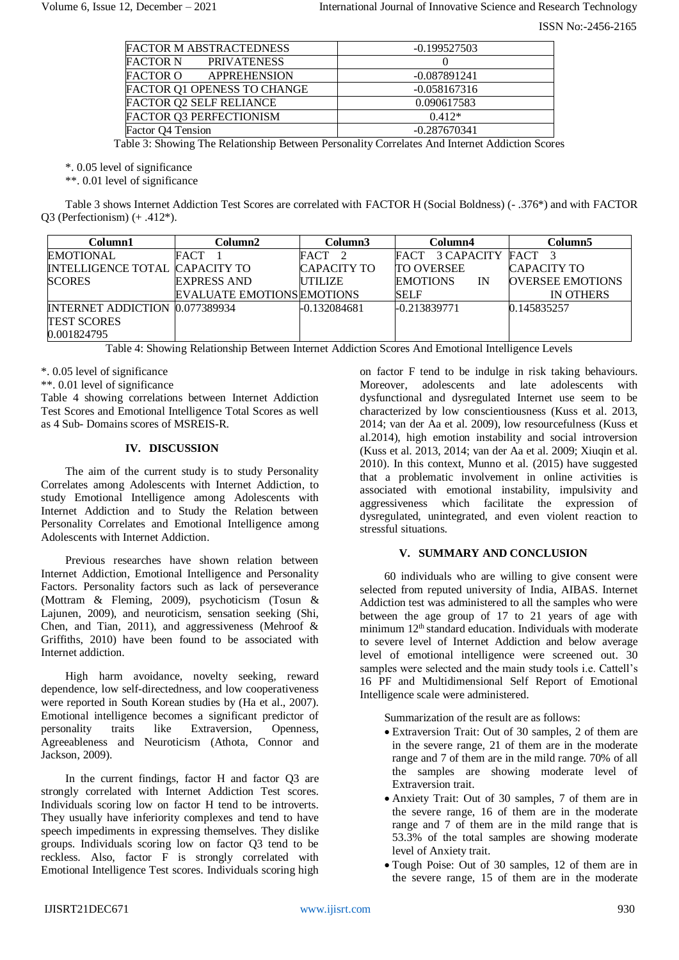| <b>FACTOR M ABSTRACTEDNESS</b>  | $-0.199527503$ |
|---------------------------------|----------------|
| <b>FACTOR N</b><br>PRIVATENESS  |                |
| <b>FACTOR O</b><br>APPREHENSION | $-0.087891241$ |
| FACTOR Q1 OPENESS TO CHANGE     | $-0.058167316$ |
| <b>FACTOR Q2 SELF RELIANCE</b>  | 0.090617583    |
| <b>FACTOR Q3 PERFECTIONISM</b>  | $0.412*$       |
| Factor Q4 Tension               | $-0.287670341$ |

Table 3: Showing The Relationship Between Personality Correlates And Internet Addiction Scores

\*. 0.05 level of significance

\*\*. 0.01 level of significance

Table 3 shows Internet Addiction Test Scores are correlated with FACTOR H (Social Boldness) (- .376\*) and with FACTOR Q3 (Perfectionism) (+ .412\*).

| Column1                               | Column2                           | Column3        | Column4                 | Column5                 |
|---------------------------------------|-----------------------------------|----------------|-------------------------|-------------------------|
| EMOTIONAL                             | FACT                              | FACT 2         | 3 CAPACITY FACT<br>FACT |                         |
| INTELLIGENCE TOTAL CAPACITY TO        |                                   | CAPACITY TO    | <b>TO OVERSEE</b>       | CAPACITY TO             |
| <b>SCORES</b>                         | <b>EXPRESS AND</b>                | UTILIZE        | <b>EMOTIONS</b><br>IN   | <b>OVERSEE EMOTIONS</b> |
|                                       | <b>EVALUATE EMOTIONS EMOTIONS</b> |                | <b>SELF</b>             | <b>IN OTHERS</b>        |
| <b>INTERNET ADDICTION 0.077389934</b> |                                   | $-0.132084681$ | $-0.213839771$          | 0.145835257             |
| <b>TEST SCORES</b>                    |                                   |                |                         |                         |
| 0.001824795                           |                                   |                |                         |                         |

Table 4: Showing Relationship Between Internet Addiction Scores And Emotional Intelligence Levels

\*. 0.05 level of significance

\*\*. 0.01 level of significance

Table 4 showing correlations between Internet Addiction Test Scores and Emotional Intelligence Total Scores as well as 4 Sub- Domains scores of MSREIS-R.

# **IV. DISCUSSION**

The aim of the current study is to study Personality Correlates among Adolescents with Internet Addiction, to study Emotional Intelligence among Adolescents with Internet Addiction and to Study the Relation between Personality Correlates and Emotional Intelligence among Adolescents with Internet Addiction.

Previous researches have shown relation between Internet Addiction, Emotional Intelligence and Personality Factors. Personality factors such as lack of perseverance (Mottram & Fleming, 2009), psychoticism (Tosun & Lajunen, 2009), and neuroticism, sensation seeking (Shi, Chen, and Tian, 2011), and aggressiveness (Mehroof & Griffiths, 2010) have been found to be associated with Internet addiction.

High harm avoidance, novelty seeking, reward dependence, low self-directedness, and low cooperativeness were reported in South Korean studies by (Ha et al., 2007). Emotional intelligence becomes a significant predictor of personality traits like Extraversion, Openness, Agreeableness and Neuroticism (Athota, Connor and Jackson, 2009).

In the current findings, factor H and factor Q3 are strongly correlated with Internet Addiction Test scores. Individuals scoring low on factor H tend to be introverts. They usually have inferiority complexes and tend to have speech impediments in expressing themselves. They dislike groups. Individuals scoring low on factor Q3 tend to be reckless. Also, factor  $\overrightarrow{F}$  is strongly correlated with Emotional Intelligence Test scores. Individuals scoring high

on factor F tend to be indulge in risk taking behaviours. Moreover, adolescents and late adolescents with dysfunctional and dysregulated Internet use seem to be characterized by low conscientiousness (Kuss et al. 2013, 2014; van der Aa et al. 2009), low resourcefulness (Kuss et al.2014), high emotion instability and social introversion (Kuss et al. 2013, 2014; van der Aa et al. 2009; Xiuqin et al. 2010). In this context, Munno et al. (2015) have suggested that a problematic involvement in online activities is associated with emotional instability, impulsivity and aggressiveness which facilitate the expression of dysregulated, unintegrated, and even violent reaction to stressful situations.

## **V. SUMMARY AND CONCLUSION**

60 individuals who are willing to give consent were selected from reputed university of India, AIBAS. Internet Addiction test was administered to all the samples who were between the age group of 17 to 21 years of age with minimum 12<sup>th</sup> standard education. Individuals with moderate to severe level of Internet Addiction and below average level of emotional intelligence were screened out. 30 samples were selected and the main study tools i.e. Cattell's 16 PF and Multidimensional Self Report of Emotional Intelligence scale were administered.

Summarization of the result are as follows:

- Extraversion Trait: Out of 30 samples, 2 of them are in the severe range, 21 of them are in the moderate range and 7 of them are in the mild range. 70% of all the samples are showing moderate level of Extraversion trait.
- Anxiety Trait: Out of 30 samples, 7 of them are in the severe range, 16 of them are in the moderate range and 7 of them are in the mild range that is 53.3% of the total samples are showing moderate level of Anxiety trait.
- Tough Poise: Out of 30 samples, 12 of them are in the severe range, 15 of them are in the moderate